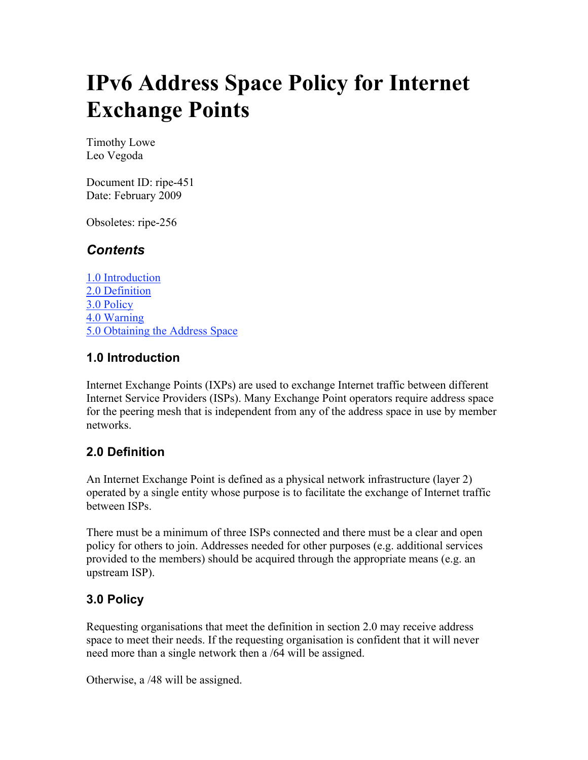# **IPv6 Address Space Policy for Internet Exchange Points**

Timothy Lowe Leo Vegoda

Document ID: ripe-451 Date: February 2009

Obsoletes: ripe-256

## *Contents*

1.0 Introduction 2.0 Definition 3.0 Policy 4.0 Warning 5.0 Obtaining the Address Space

#### **1.0 Introduction**

Internet Exchange Points (IXPs) are used to exchange Internet traffic between different Internet Service Providers (ISPs). Many Exchange Point operators require address space for the peering mesh that is independent from any of the address space in use by member networks.

### **2.0 Definition**

An Internet Exchange Point is defined as a physical network infrastructure (layer 2) operated by a single entity whose purpose is to facilitate the exchange of Internet traffic between ISPs.

There must be a minimum of three ISPs connected and there must be a clear and open policy for others to join. Addresses needed for other purposes (e.g. additional services provided to the members) should be acquired through the appropriate means (e.g. an upstream ISP).

### **3.0 Policy**

Requesting organisations that meet the definition in section 2.0 may receive address space to meet their needs. If the requesting organisation is confident that it will never need more than a single network then a /64 will be assigned.

Otherwise, a /48 will be assigned.